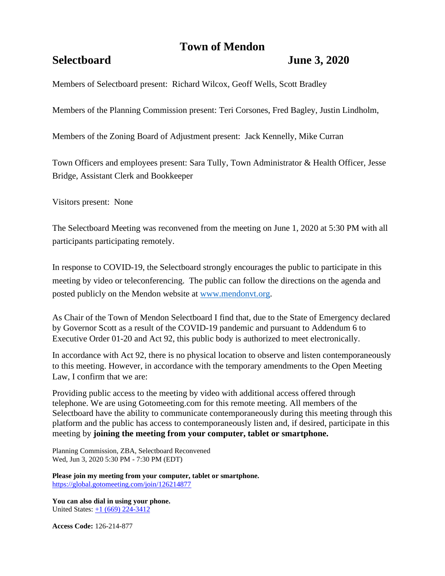# **Town of Mendon**

## **Selectboard June 3, 2020**

Members of Selectboard present: Richard Wilcox, Geoff Wells, Scott Bradley

Members of the Planning Commission present: Teri Corsones, Fred Bagley, Justin Lindholm,

Members of the Zoning Board of Adjustment present: Jack Kennelly, Mike Curran

Town Officers and employees present: Sara Tully, Town Administrator & Health Officer, Jesse Bridge, Assistant Clerk and Bookkeeper

Visitors present: None

The Selectboard Meeting was reconvened from the meeting on June 1, 2020 at 5:30 PM with all participants participating remotely.

In response to COVID-19, the Selectboard strongly encourages the public to participate in this meeting by video or teleconferencing. The public can follow the directions on the agenda and posted publicly on the Mendon website at [www.mendonvt.org.](http://www.mendonvt.org/)

As Chair of the Town of Mendon Selectboard I find that, due to the State of Emergency declared by Governor Scott as a result of the COVID-19 pandemic and pursuant to Addendum 6 to Executive Order 01-20 and Act 92, this public body is authorized to meet electronically.

In accordance with Act 92, there is no physical location to observe and listen contemporaneously to this meeting. However, in accordance with the temporary amendments to the Open Meeting Law, I confirm that we are:

Providing public access to the meeting by video with additional access offered through telephone. We are using Gotomeeting.com for this remote meeting. All members of the Selectboard have the ability to communicate contemporaneously during this meeting through this platform and the public has access to contemporaneously listen and, if desired, participate in this meeting by **joining the meeting from your computer, tablet or smartphone.** 

Planning Commission, ZBA, Selectboard Reconvened Wed, Jun 3, 2020 5:30 PM - 7:30 PM (EDT)

**Please join my meeting from your computer, tablet or smartphone.**  <https://global.gotomeeting.com/join/126214877>

**You can also dial in using your phone.**  United States: [+1 \(669\) 224-3412](tel:+16692243412,,126214877)

**Access Code:** 126-214-877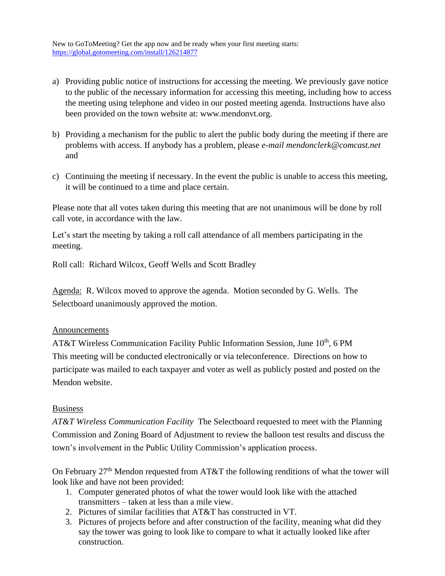New to GoToMeeting? Get the app now and be ready when your first meeting starts: <https://global.gotomeeting.com/install/126214877>

- a) Providing public notice of instructions for accessing the meeting. We previously gave notice to the public of the necessary information for accessing this meeting, including how to access the meeting using telephone and video in our posted meeting agenda. Instructions have also been provided on the town website at: www.mendonvt.org.
- b) Providing a mechanism for the public to alert the public body during the meeting if there are problems with access. If anybody has a problem, please *e-mail mendonclerk@comcast.net* and
- c) Continuing the meeting if necessary. In the event the public is unable to access this meeting, it will be continued to a time and place certain.

Please note that all votes taken during this meeting that are not unanimous will be done by roll call vote, in accordance with the law.

Let's start the meeting by taking a roll call attendance of all members participating in the meeting.

Roll call: Richard Wilcox, Geoff Wells and Scott Bradley

Agenda: R. Wilcox moved to approve the agenda. Motion seconded by G. Wells. The Selectboard unanimously approved the motion.

## Announcements

AT&T Wireless Communication Facility Public Information Session, June 10<sup>th</sup>, 6 PM This meeting will be conducted electronically or via teleconference. Directions on how to participate was mailed to each taxpayer and voter as well as publicly posted and posted on the Mendon website.

## Business

*AT&T Wireless Communication Facility* The Selectboard requested to meet with the Planning Commission and Zoning Board of Adjustment to review the balloon test results and discuss the town's involvement in the Public Utility Commission's application process.

On February  $27<sup>th</sup>$  Mendon requested from AT&T the following renditions of what the tower will look like and have not been provided:

- 1. Computer generated photos of what the tower would look like with the attached transmitters – taken at less than a mile view.
- 2. Pictures of similar facilities that AT&T has constructed in VT.
- 3. Pictures of projects before and after construction of the facility, meaning what did they say the tower was going to look like to compare to what it actually looked like after construction.